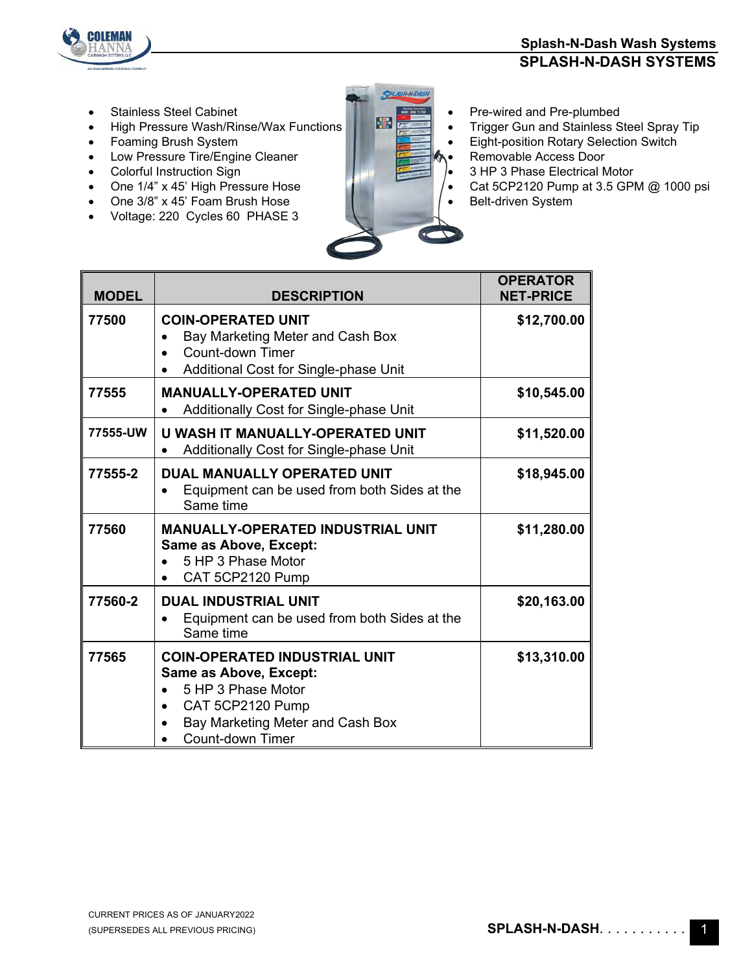

• Stainless Steel Cabinet • Pre-wired and Pre-plumbed<br>• High Pressure Wash/Rinse/Way Functions

COLEMAN

Г

- 
- 
- Low Pressure Tire/Engine Cleaner Removable Access Door Colorful Instruction Sign Cleaner Removable Access Door
- 
- Colorful Instruction Sign<br>• One 1/4" x 45' High Pressure Hose
- One 3/8" x 45' Foam Brush Hose
- Voltage: 220 Cycles 60 PHASE 3



- Frigh Pressure Wash/Rinse/Wax Functions **Figure 1999 Contains Containst Steel Spray Tip**<br>Foaming Brush System **Figure 1999 Contains Container Step 1999 Contains Contains Steel Spray Tip** 
	- **Eight-position Rotary Selection Switch**
	-
	-
	- Cat 5CP2120 Pump at 3.5 GPM @ 1000 psi
	- Belt-driven System

| <b>MODEL</b> | <b>DESCRIPTION</b>                                                                                                                                                                   | <b>OPERATOR</b><br><b>NET-PRICE</b> |
|--------------|--------------------------------------------------------------------------------------------------------------------------------------------------------------------------------------|-------------------------------------|
| 77500        | <b>COIN-OPERATED UNIT</b><br>Bay Marketing Meter and Cash Box<br>Count-down Timer<br>Additional Cost for Single-phase Unit                                                           | \$12,700.00                         |
| 77555        | <b>MANUALLY-OPERATED UNIT</b><br>Additionally Cost for Single-phase Unit                                                                                                             | \$10,545.00                         |
| 77555-UW     | U WASH IT MANUALLY-OPERATED UNIT<br>Additionally Cost for Single-phase Unit                                                                                                          | \$11,520.00                         |
| 77555-2      | <b>DUAL MANUALLY OPERATED UNIT</b><br>Equipment can be used from both Sides at the<br>Same time                                                                                      | \$18,945.00                         |
| 77560        | <b>MANUALLY-OPERATED INDUSTRIAL UNIT</b><br><b>Same as Above, Except:</b><br>5 HP 3 Phase Motor<br>CAT 5CP2120 Pump                                                                  | \$11,280.00                         |
| 77560-2      | <b>DUAL INDUSTRIAL UNIT</b><br>Equipment can be used from both Sides at the<br>Same time                                                                                             | \$20,163.00                         |
| 77565        | <b>COIN-OPERATED INDUSTRIAL UNIT</b><br><b>Same as Above, Except:</b><br>5 HP 3 Phase Motor<br>CAT 5CP2120 Pump<br>$\bullet$<br>Bay Marketing Meter and Cash Box<br>Count-down Timer | \$13,310.00                         |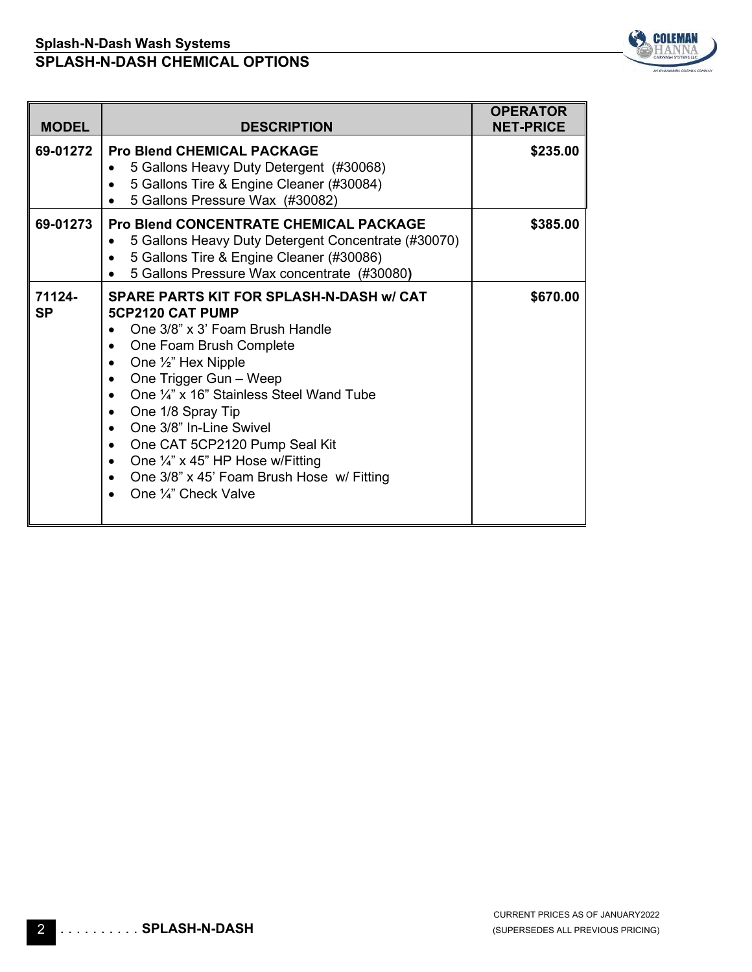

| <b>MODEL</b>        | <b>DESCRIPTION</b>                                                                                                                                                                                                                                                                                                                                                                                                                                                      | <b>OPERATOR</b><br><b>NET-PRICE</b> |
|---------------------|-------------------------------------------------------------------------------------------------------------------------------------------------------------------------------------------------------------------------------------------------------------------------------------------------------------------------------------------------------------------------------------------------------------------------------------------------------------------------|-------------------------------------|
| 69-01272            | <b>Pro Blend CHEMICAL PACKAGE</b><br>5 Gallons Heavy Duty Detergent (#30068)<br>5 Gallons Tire & Engine Cleaner (#30084)<br>5 Gallons Pressure Wax (#30082)                                                                                                                                                                                                                                                                                                             | \$235.00                            |
| 69-01273            | <b>Pro Blend CONCENTRATE CHEMICAL PACKAGE</b><br>5 Gallons Heavy Duty Detergent Concentrate (#30070)<br>5 Gallons Tire & Engine Cleaner (#30086)<br>5 Gallons Pressure Wax concentrate (#30080)                                                                                                                                                                                                                                                                         | \$385.00                            |
| 71124-<br><b>SP</b> | <b>SPARE PARTS KIT FOR SPLASH-N-DASH W/ CAT</b><br>5CP2120 CAT PUMP<br>One 3/8" x 3' Foam Brush Handle<br>One Foam Brush Complete<br>One 1/2" Hex Nipple<br>One Trigger Gun - Weep<br>٠<br>One 1/4" x 16" Stainless Steel Wand Tube<br>One 1/8 Spray Tip<br>$\bullet$<br>One 3/8" In-Line Swivel<br>$\bullet$<br>One CAT 5CP2120 Pump Seal Kit<br>٠<br>One $\frac{1}{4}$ " x 45" HP Hose w/Fitting<br>One 3/8" x 45' Foam Brush Hose w/ Fitting<br>One 1/4" Check Valve | \$670.00                            |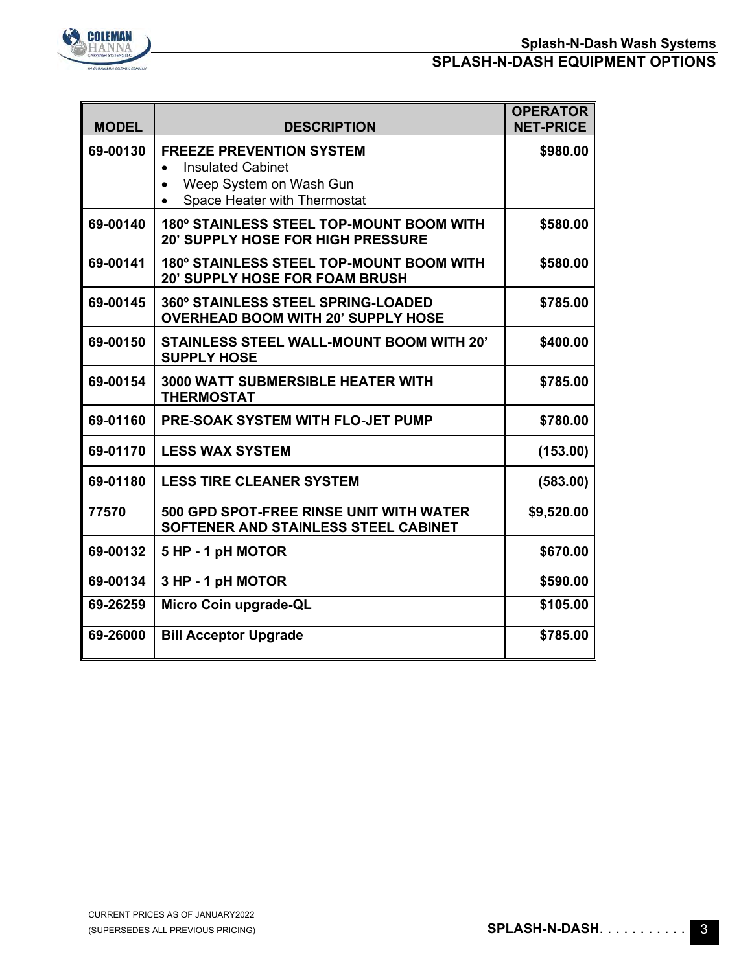

| <b>MODEL</b> | <b>DESCRIPTION</b>                                                                                                                  | <b>OPERATOR</b><br><b>NET-PRICE</b> |
|--------------|-------------------------------------------------------------------------------------------------------------------------------------|-------------------------------------|
| 69-00130     | <b>FREEZE PREVENTION SYSTEM</b><br><b>Insulated Cabinet</b><br>$\bullet$<br>Weep System on Wash Gun<br>Space Heater with Thermostat | \$980.00                            |
| 69-00140     | 180° STAINLESS STEEL TOP-MOUNT BOOM WITH<br><b>20' SUPPLY HOSE FOR HIGH PRESSURE</b>                                                | \$580.00                            |
| 69-00141     | 180° STAINLESS STEEL TOP-MOUNT BOOM WITH<br><b>20' SUPPLY HOSE FOR FOAM BRUSH</b>                                                   | \$580.00                            |
| 69-00145     | <b>360° STAINLESS STEEL SPRING-LOADED</b><br><b>OVERHEAD BOOM WITH 20' SUPPLY HOSE</b>                                              | \$785.00                            |
| 69-00150     | <b>STAINLESS STEEL WALL-MOUNT BOOM WITH 20'</b><br><b>SUPPLY HOSE</b>                                                               | \$400.00                            |
| 69-00154     | <b>3000 WATT SUBMERSIBLE HEATER WITH</b><br><b>THERMOSTAT</b>                                                                       | \$785.00                            |
| 69-01160     | <b>PRE-SOAK SYSTEM WITH FLO-JET PUMP</b>                                                                                            | \$780.00                            |
| 69-01170     | <b>LESS WAX SYSTEM</b>                                                                                                              | (153.00)                            |
| 69-01180     | <b>LESS TIRE CLEANER SYSTEM</b>                                                                                                     | (583.00)                            |
| 77570        | 500 GPD SPOT-FREE RINSE UNIT WITH WATER<br>SOFTENER AND STAINLESS STEEL CABINET                                                     | \$9,520.00                          |
| 69-00132     | 5 HP - 1 pH MOTOR                                                                                                                   | \$670.00                            |
| 69-00134     | 3 HP - 1 pH MOTOR                                                                                                                   | \$590.00                            |
| 69-26259     | Micro Coin upgrade-QL                                                                                                               | \$105.00                            |
| 69-26000     | <b>Bill Acceptor Upgrade</b>                                                                                                        | \$785.00                            |